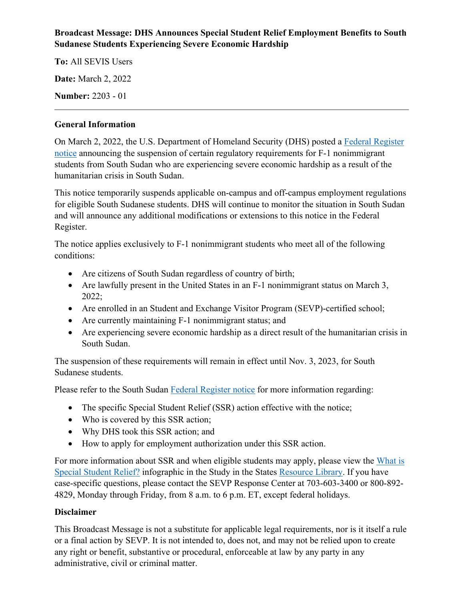## **Broadcast Message: DHS Announces Special Student Relief Employment Benefits to South Sudanese Students Experiencing Severe Economic Hardship**

**To:** All SEVIS Users

**Date:** March 2, 2022

**Number:** 2203 - 01

## **General Information**

On March 2, 2022, the U.S. Department of Homeland Security (DHS) posted a [Federal Register](https://public-inspection.federalregister.gov/2022-04570.pdf)  [notice](https://public-inspection.federalregister.gov/2022-04570.pdf) announcing the suspension of certain regulatory requirements for F-1 nonimmigrant students from South Sudan who are experiencing severe economic hardship as a result of the humanitarian crisis in South Sudan.

This notice temporarily suspends applicable on-campus and off-campus employment regulations for eligible South Sudanese students. DHS will continue to monitor the situation in South Sudan and will announce any additional modifications or extensions to this notice in the Federal Register.

The notice applies exclusively to F-1 nonimmigrant students who meet all of the following conditions:

- Are citizens of South Sudan regardless of country of birth;
- Are lawfully present in the United States in an F-1 nonimmigrant status on March 3, 2022;
- Are enrolled in an Student and Exchange Visitor Program (SEVP)-certified school;
- Are currently maintaining F-1 nonimmigrant status; and
- Are experiencing severe economic hardship as a direct result of the humanitarian crisis in South Sudan.

The suspension of these requirements will remain in effect until Nov. 3, 2023, for South Sudanese students.

Please refer to the South Sudan [Federal Register notice](https://public-inspection.federalregister.gov/2022-04570.pdf) for more information regarding:

- The specific Special Student Relief (SSR) action effective with the notice;
- Who is covered by this SSR action;
- Why DHS took this SSR action; and
- How to apply for employment authorization under this SSR action.

For more information about SSR and when eligible students may apply, please view the [What is](https://studyinthestates.dhs.gov/assets/sevp_specialstudentrelief_bw.pdf)  [Special Student Relief?](https://studyinthestates.dhs.gov/assets/sevp_specialstudentrelief_bw.pdf) infographic in the Study in the States [Resource Library.](https://studyinthestates.dhs.gov/resource-library) If you have case-specific questions, please contact the SEVP Response Center at 703-603-3400 or 800-892- 4829, Monday through Friday, from 8 a.m. to 6 p.m. ET, except federal holidays.

## **Disclaimer**

This Broadcast Message is not a substitute for applicable legal requirements, nor is it itself a rule or a final action by SEVP. It is not intended to, does not, and may not be relied upon to create any right or benefit, substantive or procedural, enforceable at law by any party in any administrative, civil or criminal matter.